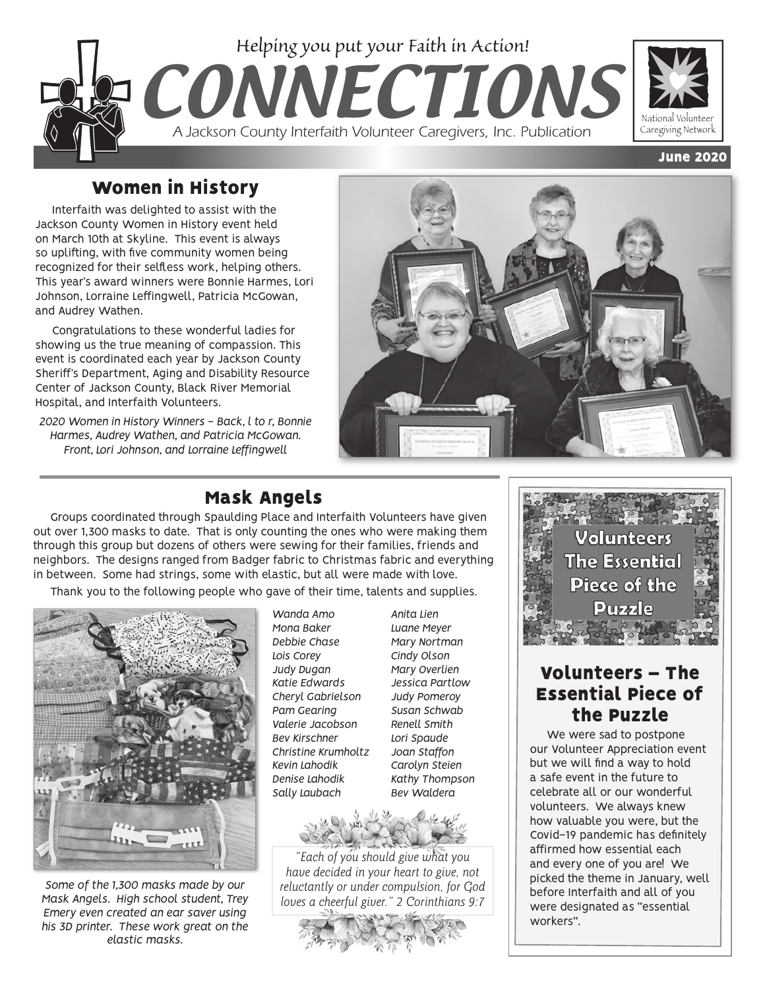

# Women in History

Interfaith was delighted to assist with the Jackson County Women in History event held on March 10th at Skyline. This event is always so uplifting, with five community women being recognized for their selfless work, helping others. This year's award winners were Bonnie Harmes, Lori Johnson, Lorraine Leffingwell, Patricia McGowan, and Audrey Wathen.

Congratulations to these wonderful ladies for showing us the true meaning of compassion. This event is coordinated each year by Jackson County Sheriff's Department, Aging and Disability Resource Center of Jackson County, Black River Memorial Hospital, and Interfaith Volunteers.

*2020 Women in History Winners - Back, l to r, Bonnie Harmes, Audrey Wathen, and Patricia McGowan. Front, Lori Johnson, and Lorraine Leffingwell*



# Mask Angels

Groups coordinated through Spaulding Place and Interfaith Volunteers have given out over 1,300 masks to date. That is only counting the ones who were making them through this group but dozens of others were sewing for their families, friends and neighbors. The designs ranged from Badger fabric to Christmas fabric and everything in between. Some had strings, some with elastic, but all were made with love.

Thank you to the following people who gave of their time, talents and supplies.



*Some of the 1,300 masks made by our Mask Angels. High school student, Trey Emery even created an ear saver using his 3D printer. These work great on the elastic masks.* 

*Wanda Amo Mona Baker Debbie Chase Lois Corey Judy Dugan Katie Edwards Cheryl Gabrielson Pam Gearing Valerie Jacobson Bev Kirschner Christine Krumholtz Kevin Lahodik Denise Lahodik Sally Laubach*

*Luane Meyer Mary Nortman Cindy Olson Mary Overlien Jessica Partlow Judy Pomeroy Susan Schwab Renell Smith Lori Spaude Joan Staffon Carolyn Steien Kathy Thompson Bev Waldera*

*Anita Lien*



*"Each of you should give what you have decided in your heart to give, not reluctantly or under compulsion, for God loves a cheerful giver." 2 Corinthians 9:7*





## Volunteers – The Essential Piece of the Puzzle

We were sad to postpone our Volunteer Appreciation event but we will find a way to hold a safe event in the future to celebrate all or our wonderful volunteers. We always knew how valuable you were, but the Covid-19 pandemic has definitely affirmed how essential each and every one of you are! We picked the theme in January, well before Interfaith and all of you were designated as "essential workers".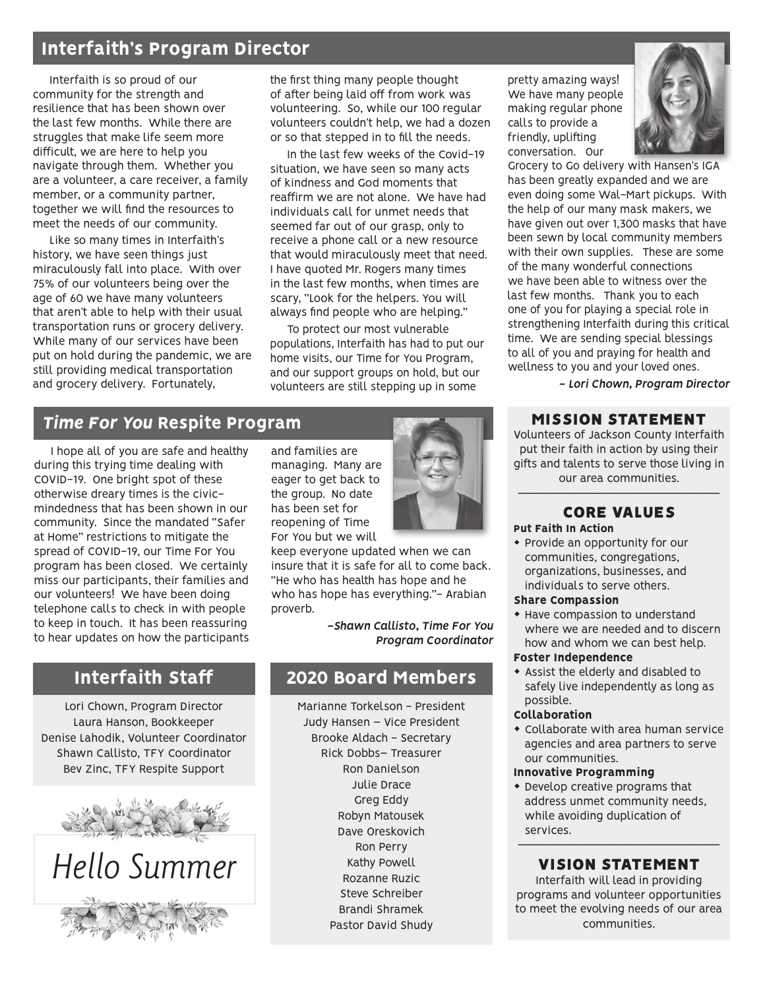## Interfaith's Program Director

Interfaith is so proud of our community for the strength and resilience that has been shown over the last few months. While there are struggles that make life seem more difficult, we are here to help you navigate through them. Whether you are a volunteer, a care receiver, a family member, or a community partner, together we will find the resources to meet the needs of our community.

Like so many times in Interfaith's history, we have seen things just miraculously fall into place. With over 75% of our volunteers being over the age of 60 we have many volunteers that aren't able to help with their usual transportation runs or grocery delivery. While many of our services have been put on hold during the pandemic, we are still providing medical transportation and grocery delivery. Fortunately,

the first thing many people thought of after being laid off from work was volunteering. So, while our 100 regular volunteers couldn't help, we had a dozen or so that stepped in to fill the needs.

In the last few weeks of the Covid-19 situation, we have seen so many acts of kindness and God moments that reaffirm we are not alone. We have had individuals call for unmet needs that seemed far out of our grasp, only to receive a phone call or a new resource that would miraculously meet that need. I have quoted Mr. Rogers many times in the last few months, when times are scary, "Look for the helpers. You will always find people who are helping."

To protect our most vulnerable populations, Interfaith has had to put our home visits, our Time for You Program, and our support groups on hold, but our volunteers are still stepping up in some

### *Time For You* Respite Program

I hope all of you are safe and healthy during this trying time dealing with COVID-19. One bright spot of these otherwise dreary times is the civicmindedness that has been shown in our community. Since the mandated "Safer at Home" restrictions to mitigate the spread of COVID-19, our Time For You program has been closed. We certainly miss our participants, their families and our volunteers! We have been doing telephone calls to check in with people to keep in touch. It has been reassuring to hear updates on how the participants

# Interfaith Staff

Lori Chown, Program Director Laura Hanson, Bookkeeper Denise Lahodik, Volunteer Coordinator Shawn Callisto, TFY Coordinator Bev Zinc, TFY Respite Support





and families are managing. Many are eager to get back to the group. No date has been set for reopening of Time For You but we will



keep everyone updated when we can insure that it is safe for all to come back. "He who has health has hope and he who has hope has everything."- Arabian proverb.

> *-Shawn Callisto, Time For You Program Coordinator*

## 2020 Board Members

Marianne Torkelson - President Judy Hansen – Vice President Brooke Aldach - Secretary Rick Dobbs– Treasurer Ron Danielson Julie Drace Greg Eddy Robyn Matousek Dave Oreskovich Ron Perry Kathy Powell Rozanne Ruzic Steve Schreiber Brandi Shramek Pastor David Shudy

pretty amazing ways! We have many people making regular phone calls to provide a friendly, uplifting conversation. Our



Grocery to Go delivery with Hansen's IGA has been greatly expanded and we are even doing some Wal-Mart pickups. With the help of our many mask makers, we have given out over 1,300 masks that have been sewn by local community members with their own supplies. These are some of the many wonderful connections we have been able to witness over the last few months. Thank you to each one of you for playing a special role in strengthening Interfaith during this critical time. We are sending special blessings to all of you and praying for health and wellness to you and your loved ones.

*- Lori Chown, Program Director*

#### MISSION STATEMENT

Volunteers of Jackson County Interfaith put their faith in action by using their gifts and talents to serve those living in our area communities.

#### —————————————————————— CORE VALUES

Put Faith In Action

• Provide an opportunity for our communities, congregations, organizations, businesses, and individuals to serve others.

#### Share Compassion

• Have compassion to understand where we are needed and to discern how and whom we can best help.

#### Foster Independence

\* Assist the elderly and disabled to safely live independently as long as possible.

#### Collaboration

 $\bullet$  Collaborate with area human service agencies and area partners to serve our communities.

#### Innovative Programming

• Develop creative programs that address unmet community needs, while avoiding duplication of services.

#### —————————————————————— VISION STATEMENT

Interfaith will lead in providing programs and volunteer opportunities to meet the evolving needs of our area communities.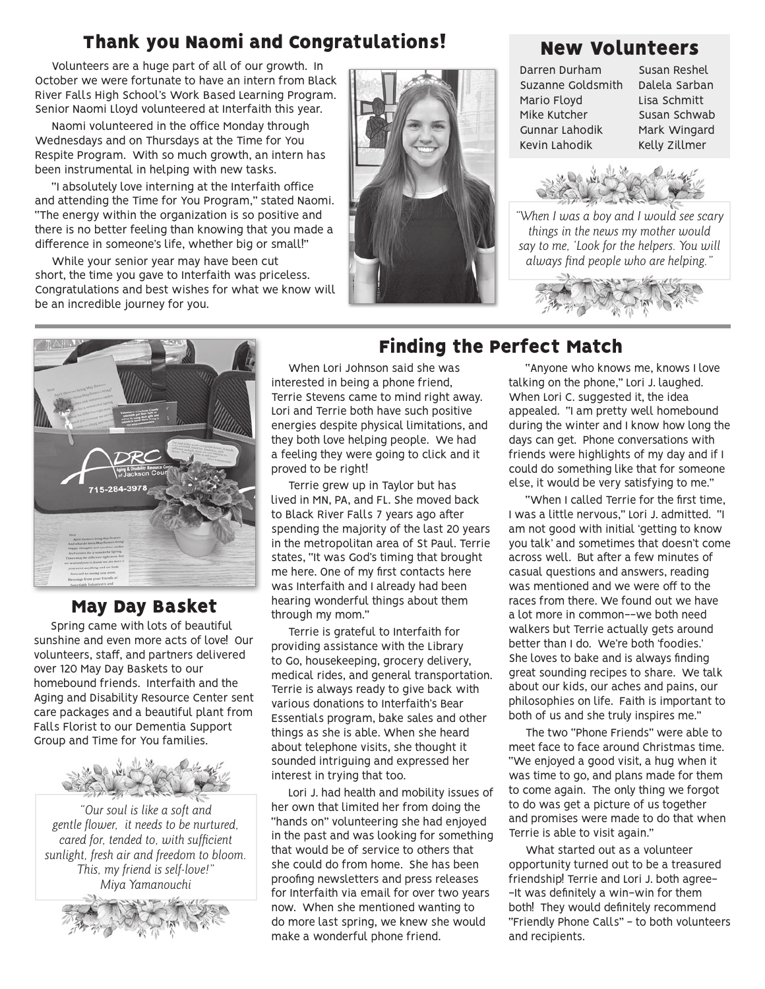# Thank you Naomi and Congratulations!

Volunteers are a huge part of all of our growth. In October we were fortunate to have an intern from Black River Falls High School's Work Based Learning Program. Senior Naomi Lloyd volunteered at Interfaith this year.

Naomi volunteered in the office Monday through Wednesdays and on Thursdays at the Time for You Respite Program. With so much growth, an intern has been instrumental in helping with new tasks.

"I absolutely love interning at the Interfaith office and attending the Time for You Program," stated Naomi. "The energy within the organization is so positive and there is no better feeling than knowing that you made a difference in someone's life, whether big or small!"

While your senior year may have been cut short, the time you gave to Interfaith was priceless. Congratulations and best wishes for what we know will be an incredible journey for you.



## New Volunteers

Darren Durham Suzanne Goldsmith Mario Floyd Mike Kutcher Gunnar Lahodik Kevin Lahodik

Susan Reshel Dalela Sarban Lisa Schmitt Susan Schwab Mark Wingard Kelly Zillmer



*"When I was a boy and I would see scary things in the news my mother would say to me, 'Look for the helpers. You will always find people who are helping."*



## May Day Basket

Spring came with lots of beautiful sunshine and even more acts of love! Our volunteers, staff, and partners delivered over 120 May Day Baskets to our homebound friends. Interfaith and the Aging and Disability Resource Center sent care packages and a beautiful plant from Falls Florist to our Dementia Support Group and Time for You families.



*"Our soul is like a soft and gentle flower, it needs to be nurtured, cared for, tended to, with sufficient sunlight, fresh air and freedom to bloom. This, my friend is self-love!" Miya Yamanouchi*



Finding the Perfect Match

When Lori Johnson said she was interested in being a phone friend, Terrie Stevens came to mind right away. Lori and Terrie both have such positive energies despite physical limitations, and they both love helping people. We had a feeling they were going to click and it proved to be right!

Terrie grew up in Taylor but has lived in MN, PA, and FL. She moved back to Black River Falls 7 years ago after spending the majority of the last 20 years in the metropolitan area of St Paul. Terrie states, "It was God's timing that brought me here. One of my first contacts here was Interfaith and I already had been hearing wonderful things about them through my mom."

Terrie is grateful to Interfaith for providing assistance with the Library to Go, housekeeping, grocery delivery, medical rides, and general transportation. Terrie is always ready to give back with various donations to Interfaith's Bear Essentials program, bake sales and other things as she is able. When she heard about telephone visits, she thought it sounded intriguing and expressed her interest in trying that too.

Lori J. had health and mobility issues of her own that limited her from doing the "hands on" volunteering she had enjoyed in the past and was looking for something that would be of service to others that she could do from home. She has been proofing newsletters and press releases for Interfaith via email for over two years now. When she mentioned wanting to do more last spring, we knew she would make a wonderful phone friend.

"Anyone who knows me, knows I love talking on the phone," Lori J. laughed. When Lori C. suggested it, the idea appealed. "I am pretty well homebound during the winter and I know how long the days can get. Phone conversations with friends were highlights of my day and if I could do something like that for someone else, it would be very satisfying to me."

"When I called Terrie for the first time, I was a little nervous," Lori J. admitted. "I am not good with initial 'getting to know you talk' and sometimes that doesn't come across well. But after a few minutes of casual questions and answers, reading was mentioned and we were off to the races from there. We found out we have a lot more in common--we both need walkers but Terrie actually gets around better than I do. We're both 'foodies.' She loves to bake and is always finding great sounding recipes to share. We talk about our kids, our aches and pains, our philosophies on life. Faith is important to both of us and she truly inspires me."

The two "Phone Friends" were able to meet face to face around Christmas time. "We enjoyed a good visit, a hug when it was time to go, and plans made for them to come again. The only thing we forgot to do was get a picture of us together and promises were made to do that when Terrie is able to visit again."

What started out as a volunteer opportunity turned out to be a treasured friendship! Terrie and Lori J. both agree- -It was definitely a win-win for them both! They would definitely recommend "Friendly Phone Calls" - to both volunteers and recipients.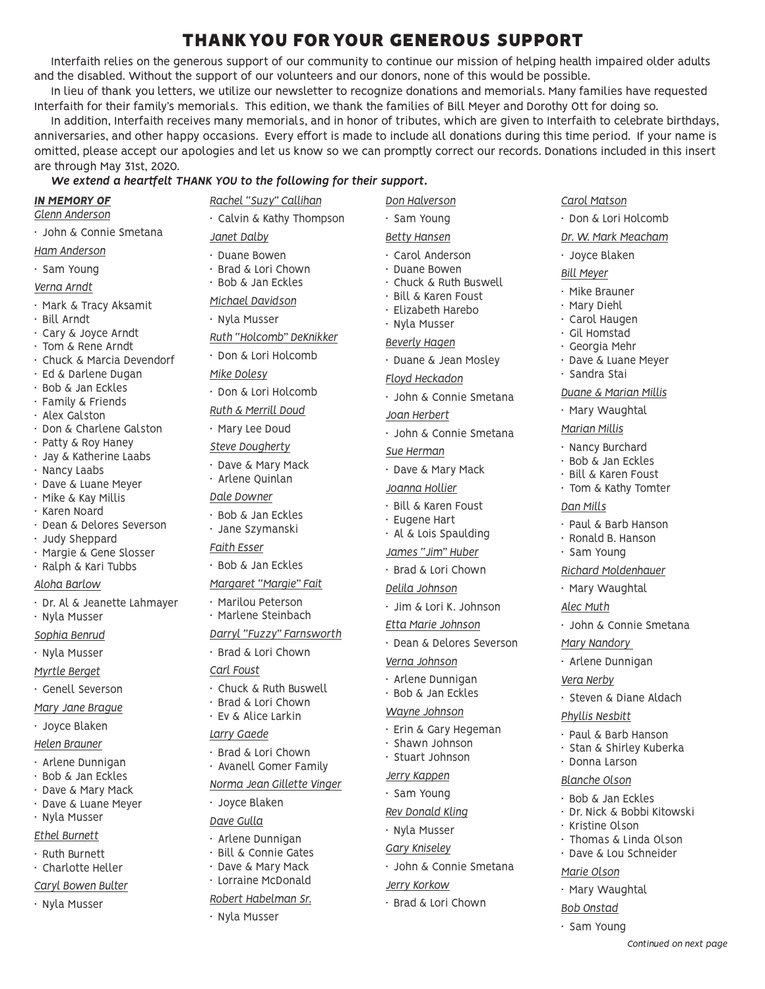# THANK YOU FOR YOUR GENEROUS SUPPORT

Interfaith relies on the generous support of our community to continue our mission of helping health impaired older adults and the disabled. Without the support of our volunteers and our donors, none of this would be possible.

In lieu of thank you letters, we utilize our newsletter to recognize donations and memorials. Many families have requested Interfaith for their family's memorials. This edition, we thank the families of Bill Meyer and Dorothy Ott for doing so.

In addition, Interfaith receives many memorials, and in honor of tributes, which are given to Interfaith to celebrate birthdays, anniversaries, and other happy occasions. Every effort is made to include all donations during this time period. If your name is omitted, please accept our apologies and let us know so we can promptly correct our records. Donations included in this insert are through May 31st, 2020.

#### *We extend a heartfelt THANK YOU to the following for their support.*

|  | IN MEMORY OF |  |
|--|--------------|--|
|  |              |  |

- *Glenn Anderson*
- John & Connie Smetana
- *Ham Anderson*
- Sam Young
- *Verna Arndt*
- Mark & Tracy Aksamit
- Bill Arndt
- Cary & Joyce Arndt
- Tom & Rene Arndt
- Chuck & Marcia Devendorf
- Ed & Darlene Dugan
- Bob & Jan Eckles
- Family & Friends
- Alex Galston
- Don & Charlene Galston
- Patty & Roy Haney • Jay & Katherine Laabs
- Nancy Laabs
- Dave & Luane Meyer
- Mike & Kay Millis
- Karen Noard
- Dean & Delores Severson
- Judy Sheppard
- Margie & Gene Slosser
- Ralph & Kari Tubbs

#### *Aloha Barlow*

• Dr. Al & Jeanette Lahmayer • Nyla Musser

*Sophia Benrud*

• Nyla Musser

*Myrtle Berget*

- Genell Severson
- *Mary Jane Brague*
- Joyce Blaken

#### *Helen Brauner*

- Arlene Dunnigan
- Bob & Jan Eckles
- Dave & Mary Mack
- Dave & Luane Meyer
- Nyla Musser

#### *Ethel Burnett*

- Ruth Burnett
- Charlotte Heller
- *Caryl Bowen Bulter*
- Nyla Musser
- *Rachel "Suzy" Callihan* • Calvin & Kathy Thompson *Janet Dalby* • Duane Bowen • Brad & Lori Chown • Bob & Jan Eckles *Michael Davidson* • Nyla Musser
- *Ruth "Holcomb" DeKnikker*
- Don & Lori Holcomb

*Mike Dolesy*

- Don & Lori Holcomb
- *Ruth & Merrill Doud*
- Mary Lee Doud
- *Steve Dougherty*
- Dave & Mary Mack
- Arlene Quinlan
- *Dale Downer*
- Bob & Jan Eckles
- Jane Szymanski

#### *Faith Esser*

- Bob & Jan Eckles
- *Margaret "Margie" Fait*
- Marilou Peterson • Marlene Steinbach
- *Darryl "Fuzzy" Farnsworth*

#### • Brad & Lori Chown

*Carl Foust*

- Chuck & Ruth Buswell
- Brad & Lori Chown
- Ev & Alice Larkin

#### *Larry Gaede*

- Brad & Lori Chown
- Avanell Gomer Family
- *Norma Jean Gillette Vinger*
- Joyce Blaken
- *Dave Gulla*
- Arlene Dunnigan
- Bill & Connie Gates
- Dave & Mary Mack

## • Lorraine McDonald

- *Robert Habelman Sr.*
- Nyla Musser

*Don Halverson* • Sam Young *Betty Hansen*

*Carol Matson*

• Joyce Blaken *Bill Meyer* • Mike Brauner • Mary Diehl • Carol Haugen • Gil Homstad • Georgia Mehr • Dave & Luane Meyer

• Sandra Stai

*Dan Mills*

*Alec Muth*

*Vera Nerby*

*Mary Nandory*  • Arlene Dunnigan

*Phyllis Nesbitt*

• Donna Larson *Blanche Olson* • Bob & Jan Eckles • Dr. Nick & Bobbi Kitowski

• Kristine Olson

*Marie Olson* • Mary Waughtal *Bob Onstad* • Sam Young

• Thomas & Linda Olson • Dave & Lou Schneider

*Continued on next page*

*Duane & Marian Millis* • Mary Waughtal *Marian Millis* • Nancy Burchard • Bob & Jan Eckles • Bill & Karen Foust • Tom & Kathy Tomter

• Paul & Barb Hanson • Ronald B. Hanson • Sam Young

*Richard Moldenhauer* • Mary Waughtal

• John & Connie Smetana

• Steven & Diane Aldach

• Paul & Barb Hanson • Stan & Shirley Kuberka

• Don & Lori Holcomb *Dr. W. Mark Meacham*

- 
- Carol Anderson • Duane Bowen
- Chuck & Ruth Buswell
- Bill & Karen Foust
- Elizabeth Harebo
- Nyla Musser
- 

#### *Beverly Hagen*

- Duane & Jean Mosley
- *Floyd Heckadon*
- John & Connie Smetana

#### *Joan Herbert*

- John & Connie Smetana *Sue Herman*
- Dave & Mary Mack

• Bill & Karen Foust • Eugene Hart • Al & Lois Spaulding *James "Jim" Huber* • Brad & Lori Chown *Delila Johnson*

• Jim & Lori K. Johnson *Etta Marie Johnson*

• Erin & Gary Hegeman • Shawn Johnson • Stuart Johnson *Jerry Kappen* • Sam Young *Rev Donald Kling* • Nyla Musser *Gary Kniseley*

• John & Connie Smetana

*Jerry Korkow*

• Brad & Lori Chown

*Verna Johnson* • Arlene Dunnigan • Bob & Jan Eckles *Wayne Johnson*

• Dean & Delores Severson

*Joanna Hollier*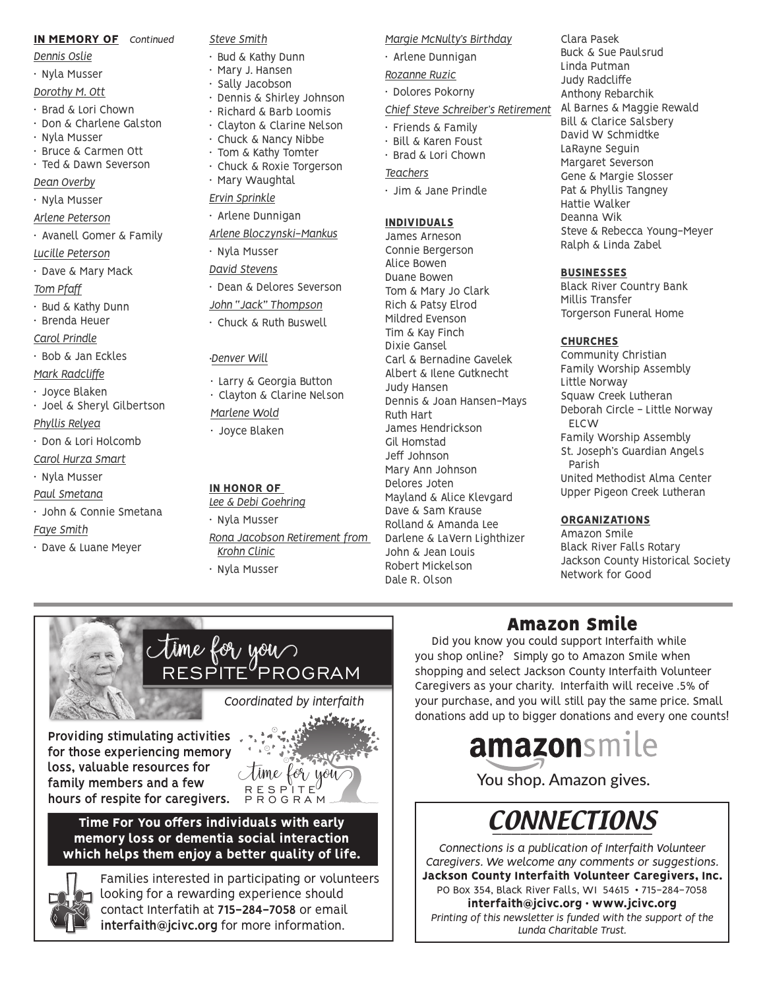#### IN MEMORY OF *Continued*

- *Dennis Oslie*
- Nyla Musser
- *Dorothy M. Ott*
- Brad & Lori Chown
- Don & Charlene Galston
- Nyla Musser
- Bruce & Carmen Ott • Ted & Dawn Severson
- *Dean Overby*
- Nyla Musser
- *Arlene Peterson*
- Avanell Gomer & Family

#### *Lucille Peterson*

• Dave & Mary Mack

*Tom Pfaff*

- Bud & Kathy Dunn
- Brenda Heuer

*Carol Prindle*

- Bob & Jan Eckles
- *Mark Radcliffe*
- Joyce Blaken
- Joel & Sheryl Gilbertson

*Phyllis Relyea*

- Don & Lori Holcomb
- *Carol Hurza Smart*
- Nyla Musser
- *Paul Smetana*
- John & Connie Smetana *Faye Smith*
- Dave & Luane Meyer

#### *Steve Smith*

- Bud & Kathy Dunn
- Mary J. Hansen<br>• Sally Jacobson
- Sally Jacobson<br>• Dennis & Shirle
- Dennis & Shirley Johnson • Richard & Barb Loomis
- Clayton & Clarine Nelson
- Chuck & Nancy Nibbe
- Tom & Kathy Tomter
- Chuck & Roxie Torgerson
- Mary Waughtal
- *Ervin Sprinkle*
- Arlene Dunnigan
- *Arlene Bloczynski-Mankus*
- Nyla Musser
- *David Stevens*
- Dean & Delores Severson
- *John "Jack" Thompson*
- Chuck & Ruth Buswell
- 

#### •*Denver Will*

- Larry & Georgia Button
- Clayton & Clarine Nelson
- *Marlene Wold*
- Joyce Blaken

#### IN HONOR OF

- *Lee & Debi Goehring*
- Nyla Musser *Rona Jacobson Retirement from Krohn Clinic*
- Nyla Musser

time for you

*Margie McNulty's Birthday*

• Arlene Dunnigan

#### *Rozanne Ruzic*

• Dolores Pokorny

#### *Chief Steve Schreiber's Retirement*

- Friends & Family
- Bill & Karen Foust
- Brad & Lori Chown

#### *Teachers*

• Jim & Jane Prindle

#### INDIVIDUALS

James Arneson Connie Bergerson Alice Bowen Duane Bowen Tom & Mary Jo Clark Rich & Patsy Elrod Mildred Evenson Tim & Kay Finch Dixie Gansel Carl & Bernadine Gavelek Albert & Ilene Gutknecht Judy Hansen Dennis & Joan Hansen-Mays Ruth Hart James Hendrickson Gil Homstad Jeff Johnson Mary Ann Johnson Delores Joten Mayland & Alice Klevgard Dave & Sam Krause Rolland & Amanda Lee Darlene & LaVern Lighthizer John & Jean Louis Robert Mickelson Dale R. Olson

Clara Pasek Buck & Sue Paulsrud Linda Putman Judy Radcliffe Anthony Rebarchik Al Barnes & Maggie Rewald Bill & Clarice Salsbery David W Schmidtke LaRayne Seguin Margaret Severson Gene & Margie Slosser Pat & Phyllis Tangney Hattie Walker Deanna Wik Steve & Rebecca Young-Meyer Ralph & Linda Zabel

#### BUSINESSES

Black River Country Bank Millis Transfer Torgerson Funeral Home

#### **CHURCHES**

Community Christian Family Worship Assembly Little Norway Squaw Creek Lutheran Deborah Circle - Little Norway **FLCW** Family Worship Assembly St. Joseph's Guardian Angels Parish United Methodist Alma Center Upper Pigeon Creek Lutheran

#### ORGANIZATIONS

Amazon Smile Black River Falls Rotary Jackson County Historical Society Network for Good

# Amazon Smile

Did you know you could support Interfaith while you shop online? Simply go to Amazon Smile when shopping and select Jackson County Interfaith Volunteer Caregivers as your charity. Interfaith will receive .5% of your purchase, and you will still pay the same price. Small donations add up to bigger donations and every one counts!



You shop. Amazon gives.



*Connections is a publication of Interfaith Volunteer Caregivers. We welcome any comments or suggestions.* Jackson County Interfaith Volunteer Caregivers, Inc. PO Box 354, Black River Falls, WI 54615 • 715-284-7058 interfaith@jcivc.org • www.jcivc.org *Printing of this newsletter is funded with the support of the Lunda Charitable Trust.* 

**Providing stimulating activities for those experiencing memory loss, valuable resources for family members and a few** 

**hours of respite for caregivers.**



PROGRAM

Time For You offers individuals with early memory loss or dementia social interaction which helps them enjoy a better quality of life.



Families interested in participating or volunteers looking for a rewarding experience should contact Interfatih at **715-284-7058** or email **interfaith@jcivc.org** for more information.